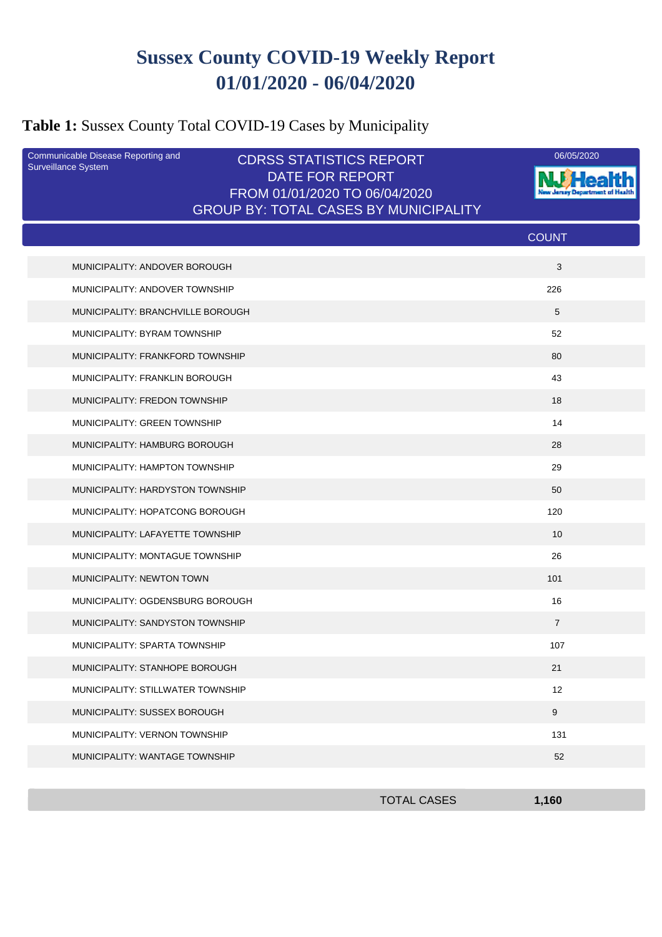# **Sussex County COVID-19 Weekly Report 01/01/2020 - 06/04/2020**

### **Table 1:** Sussex County Total COVID-19 Cases by Municipality

| Communicable Disease Reporting and<br>Surveillance System | <b>CDRSS STATISTICS REPORT</b><br><b>DATE FOR REPORT</b><br>FROM 01/01/2020 TO 06/04/2020 | 06/05/2020     |
|-----------------------------------------------------------|-------------------------------------------------------------------------------------------|----------------|
|                                                           | <b>GROUP BY: TOTAL CASES BY MUNICIPALITY</b>                                              |                |
|                                                           |                                                                                           | <b>COUNT</b>   |
| MUNICIPALITY: ANDOVER BOROUGH                             |                                                                                           | 3              |
| MUNICIPALITY: ANDOVER TOWNSHIP                            |                                                                                           | 226            |
| MUNICIPALITY: BRANCHVILLE BOROUGH                         |                                                                                           | 5              |
| MUNICIPALITY: BYRAM TOWNSHIP                              |                                                                                           | 52             |
| MUNICIPALITY: FRANKFORD TOWNSHIP                          |                                                                                           | 80             |
| MUNICIPALITY: FRANKLIN BOROUGH                            |                                                                                           | 43             |
| MUNICIPALITY: FREDON TOWNSHIP                             |                                                                                           | 18             |
| MUNICIPALITY: GREEN TOWNSHIP                              |                                                                                           | 14             |
| MUNICIPALITY: HAMBURG BOROUGH                             |                                                                                           | 28             |
| MUNICIPALITY: HAMPTON TOWNSHIP                            |                                                                                           | 29             |
| MUNICIPALITY: HARDYSTON TOWNSHIP                          |                                                                                           | 50             |
| MUNICIPALITY: HOPATCONG BOROUGH                           |                                                                                           | 120            |
| MUNICIPALITY: LAFAYETTE TOWNSHIP                          |                                                                                           | 10             |
| MUNICIPALITY: MONTAGUE TOWNSHIP                           |                                                                                           | 26             |
| MUNICIPALITY: NEWTON TOWN                                 |                                                                                           | 101            |
| MUNICIPALITY: OGDENSBURG BOROUGH                          |                                                                                           | 16             |
| MUNICIPALITY: SANDYSTON TOWNSHIP                          |                                                                                           | $\overline{7}$ |
| MUNICIPALITY: SPARTA TOWNSHIP                             |                                                                                           | 107            |
| MUNICIPALITY: STANHOPE BOROUGH                            |                                                                                           | 21             |
| MUNICIPALITY: STILLWATER TOWNSHIP                         |                                                                                           | 12             |
| MUNICIPALITY: SUSSEX BOROUGH                              |                                                                                           | 9              |
| <b>MUNICIPALITY: VERNON TOWNSHIP</b>                      |                                                                                           | 131            |
| MUNICIPALITY: WANTAGE TOWNSHIP                            |                                                                                           | 52             |
|                                                           |                                                                                           |                |

TOTAL CASES **1,160**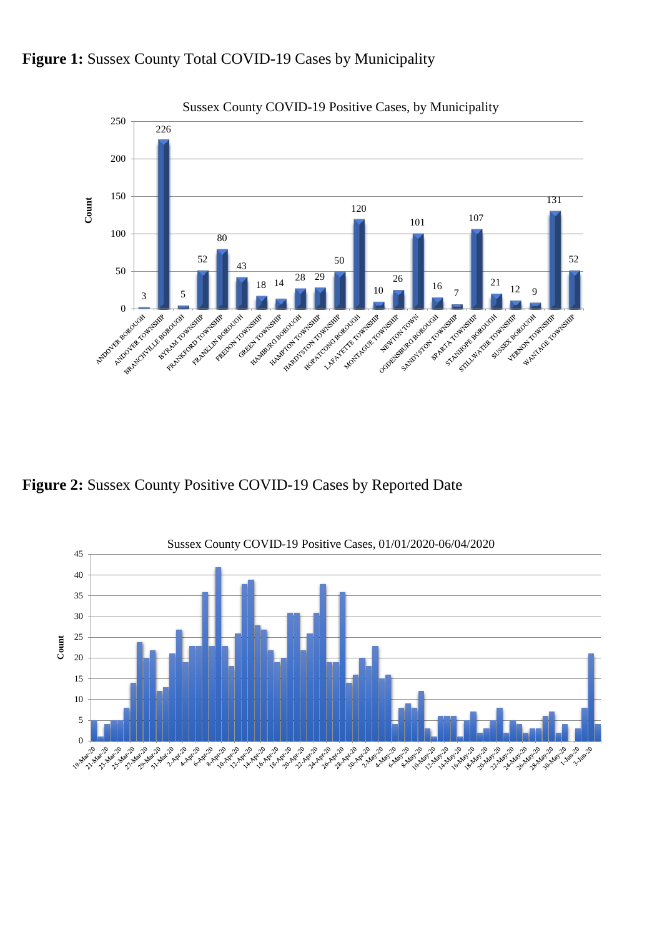

<sup>18</sup> <sup>14</sup> <sup>28</sup> <sup>29</sup>

**HALLAND COLLAND AND REPORT** 

Finder Contraction Assembly Howard Computer Report

HALLAND RESIDENCE

50

10

**Marchanton Company Report** LAPA MOVEMENT COMPANY

26

Comprehensive Report Format

Search of the control of the control of

 $16 \frac{1}{7}$ 

Durante Stranger

Schwarzen Richard School

Formation of the Street and

 $\frac{21}{12}$  12 9

Account of the Principal Control For Book of the Point 52

Water Contractor Contractor

#### Figure 1: Sussex County Total COVID-19 Cases by Municipality

**Figure 2:** Sussex County Positive COVID-19 Cases by Reported Date

A Maple Control Bank of Manuel College

Automatique Republicit

50

Pat McQuantesta River

Forebyte Report of

PROFESSION REGISTER

52

43

February 104-545 Contraction Report of

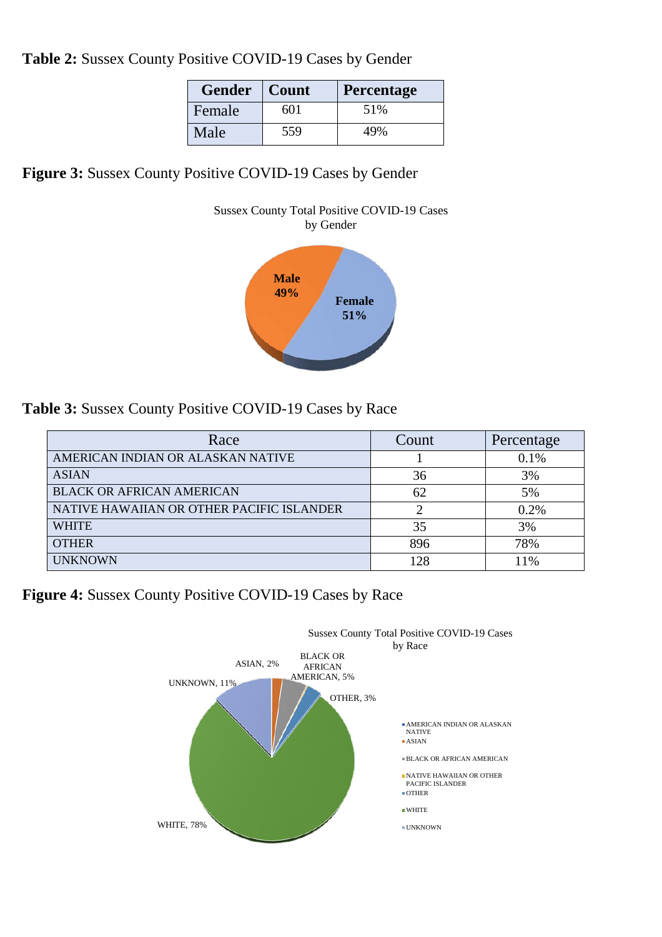**Table 2:** Sussex County Positive COVID-19 Cases by Gender

| <b>Gender</b> | Count | <b>Percentage</b> |
|---------------|-------|-------------------|
| Female        | 601   | 51%               |
| Male          | 559   | 49%               |

**Figure 3:** Sussex County Positive COVID-19 Cases by Gender



**Table 3:** Sussex County Positive COVID-19 Cases by Race

| Race                                      | Count | Percentage |
|-------------------------------------------|-------|------------|
| AMERICAN INDIAN OR ALASKAN NATIVE         |       | 0.1%       |
| <b>ASIAN</b>                              | 36    | 3%         |
| <b>BLACK OR AFRICAN AMERICAN</b>          | 62    | 5%         |
| NATIVE HAWAIIAN OR OTHER PACIFIC ISLANDER |       | 0.2%       |
| <b>WHITE</b>                              | 35    | 3%         |
| <b>OTHER</b>                              | 896   | 78%        |
| <b>UNKNOWN</b>                            | 128   | 11%        |

**Figure 4:** Sussex County Positive COVID-19 Cases by Race

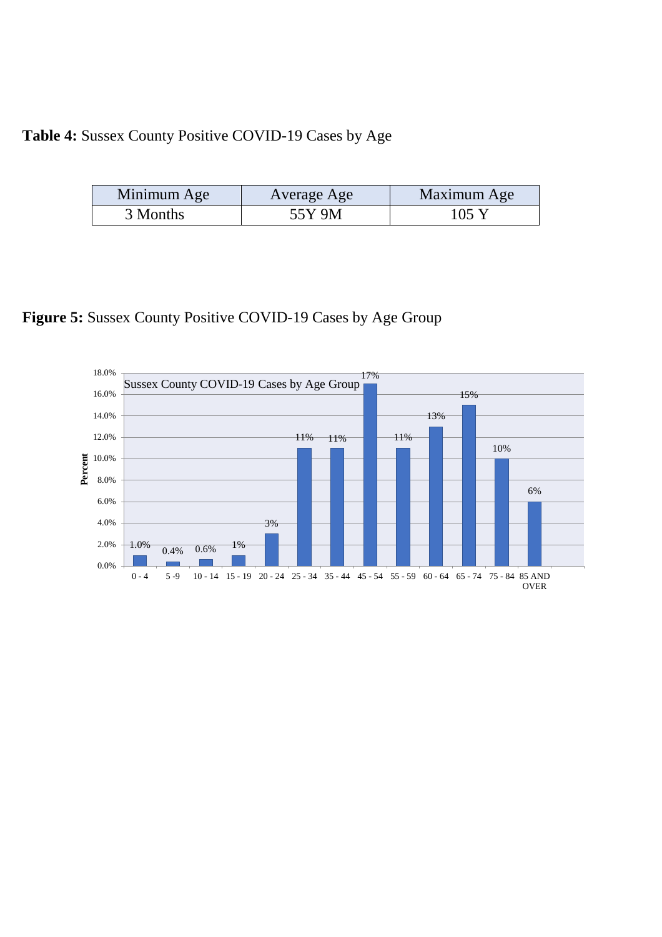# **Table 4:** Sussex County Positive COVID-19 Cases by Age

| Minimum Age | Average Age | Maximum Age |
|-------------|-------------|-------------|
| 3 Months    | 55Y 9M      | 105Y        |

### **Figure 5:** Sussex County Positive COVID-19 Cases by Age Group

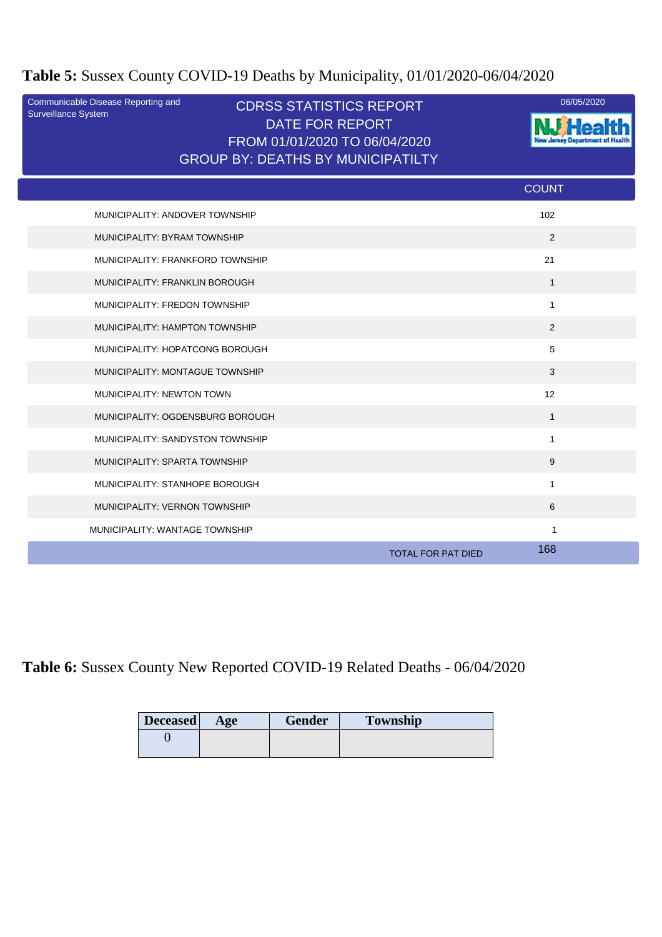# **Table 5:** Sussex County COVID-19 Deaths by Municipality, 01/01/2020-06/04/2020

| Communicable Disease Reporting and<br>Surveillance System | <b>CDRSS STATISTICS REPORT</b><br><b>DATE FOR REPORT</b><br>FROM 01/01/2020 TO 06/04/2020<br><b>GROUP BY: DEATHS BY MUNICIPATILTY</b> | 06/05/2020                       |
|-----------------------------------------------------------|---------------------------------------------------------------------------------------------------------------------------------------|----------------------------------|
|                                                           |                                                                                                                                       | <b>COUNT</b>                     |
| MUNICIPALITY: ANDOVER TOWNSHIP                            |                                                                                                                                       | 102                              |
| MUNICIPALITY: BYRAM TOWNSHIP                              |                                                                                                                                       | 2                                |
| MUNICIPALITY: FRANKFORD TOWNSHIP                          |                                                                                                                                       | 21                               |
| MUNICIPALITY: FRANKLIN BOROUGH                            |                                                                                                                                       | $\mathbf{1}$                     |
| MUNICIPALITY: FREDON TOWNSHIP                             |                                                                                                                                       | $\mathbf{1}$                     |
| MUNICIPALITY: HAMPTON TOWNSHIP                            |                                                                                                                                       | 2                                |
| MUNICIPALITY: HOPATCONG BOROUGH                           |                                                                                                                                       | 5                                |
| MUNICIPALITY: MONTAGUE TOWNSHIP                           |                                                                                                                                       | 3                                |
| MUNICIPALITY: NEWTON TOWN                                 |                                                                                                                                       | 12                               |
| MUNICIPALITY: OGDENSBURG BOROUGH                          |                                                                                                                                       | $\mathbf{1}$                     |
| MUNICIPALITY: SANDYSTON TOWNSHIP                          |                                                                                                                                       | $\mathbf{1}$                     |
| MUNICIPALITY: SPARTA TOWNSHIP                             |                                                                                                                                       | 9                                |
| MUNICIPALITY: STANHOPE BOROUGH                            |                                                                                                                                       | $\mathbf{1}$                     |
| MUNICIPALITY: VERNON TOWNSHIP                             |                                                                                                                                       | 6                                |
| MUNICIPALITY: WANTAGE TOWNSHIP                            |                                                                                                                                       | 1                                |
|                                                           |                                                                                                                                       | 168<br><b>TOTAL FOR PAT DIED</b> |

**Table 6:** Sussex County New Reported COVID-19 Related Deaths - 06/04/2020

| <b>Deceased</b> | Age | <b>Gender</b> | <b>Township</b> |  |
|-----------------|-----|---------------|-----------------|--|
|                 |     |               |                 |  |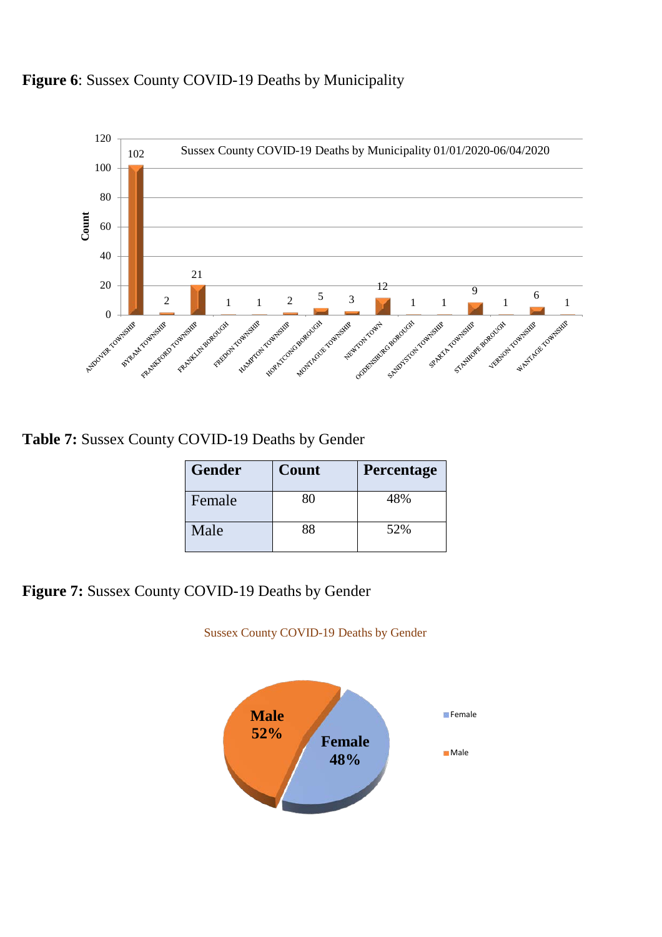### **Figure 6**: Sussex County COVID-19 Deaths by Municipality



**Table 7:** Sussex County COVID-19 Deaths by Gender

| <b>Gender</b> | Count | <b>Percentage</b> |
|---------------|-------|-------------------|
| Female        | 80    | 48%               |
| Male          | 88    | 52%               |

**Figure 7:** Sussex County COVID-19 Deaths by Gender

Sussex County COVID-19 Deaths by Gender

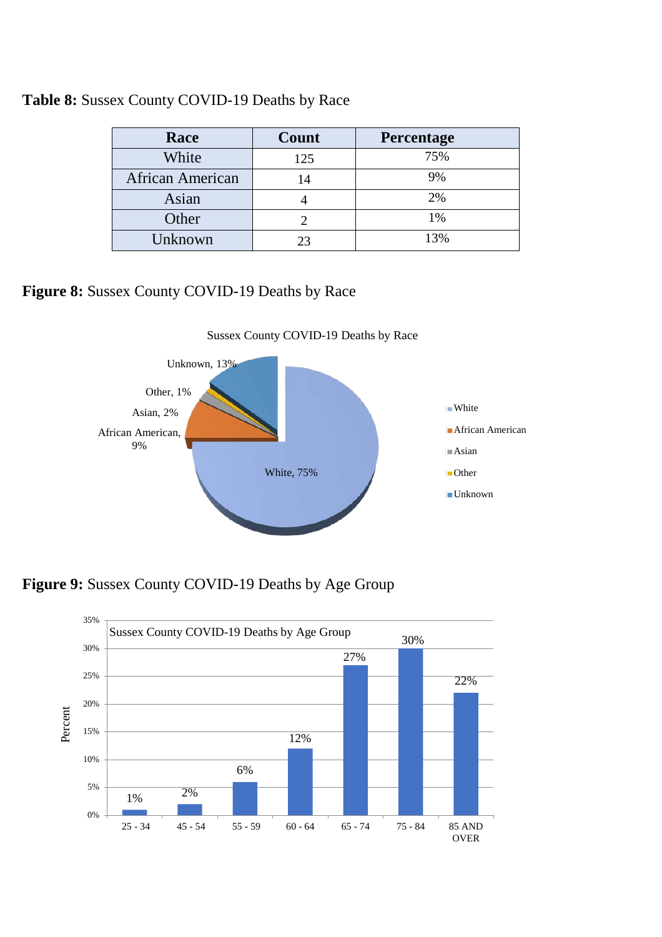| Race                    | Count          | Percentage |
|-------------------------|----------------|------------|
| White                   | 125            | 75%        |
| <b>African American</b> | 14             | 9%         |
| Asian                   |                | 2%         |
| Other                   |                | 1%         |
| Unknown                 | 2 <sup>3</sup> | 13%        |

#### **Table 8:** Sussex County COVID-19 Deaths by Race

**Figure 8:** Sussex County COVID-19 Deaths by Race



Sussex County COVID-19 Deaths by Race

**Figure 9:** Sussex County COVID-19 Deaths by Age Group